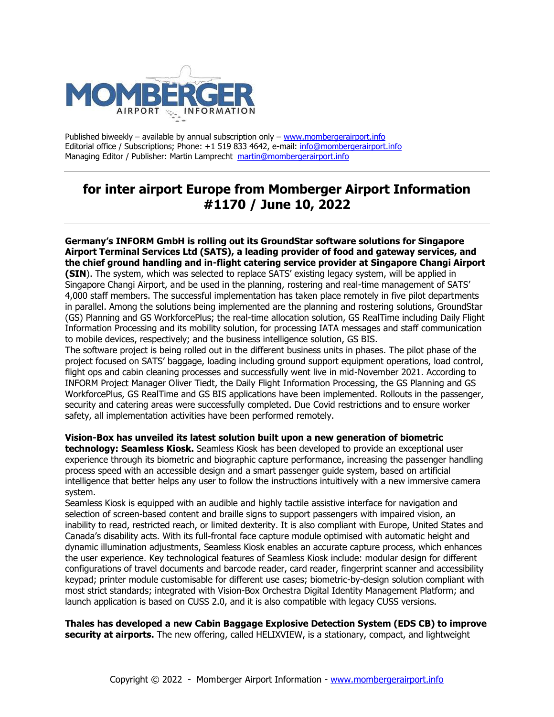

Published biweekly – available by annual subscription only – [www.mombergerairport.info](http://www.mombergerairport.info/) Editorial office / Subscriptions; Phone: +1 519 833 4642, e-mail: [info@mombergerairport.info](mailto:info@mombergerairport.info) Managing Editor / Publisher: Martin Lamprecht[martin@mombergerairport.info](mailto:martin@mombergerairport.info)

## **for inter airport Europe from Momberger Airport Information #1170 / June 10, 2022**

**Germany's INFORM GmbH is rolling out its GroundStar software solutions for Singapore Airport Terminal Services Ltd (SATS), a leading provider of food and gateway services, and the chief ground handling and in-flight catering service provider at Singapore Changi Airport (SIN**). The system, which was selected to replace SATS' existing legacy system, will be applied in Singapore Changi Airport, and be used in the planning, rostering and real-time management of SATS' 4,000 staff members. The successful implementation has taken place remotely in five pilot departments in parallel. Among the solutions being implemented are the planning and rostering solutions, GroundStar (GS) Planning and GS WorkforcePlus; the real-time allocation solution, GS RealTime including Daily Flight Information Processing and its mobility solution, for processing IATA messages and staff communication to mobile devices, respectively; and the business intelligence solution, GS BIS.

The software project is being rolled out in the different business units in phases. The pilot phase of the project focused on SATS' baggage, loading including ground support equipment operations, load control, flight ops and cabin cleaning processes and successfully went live in mid-November 2021. According to INFORM Project Manager Oliver Tiedt, the Daily Flight Information Processing, the GS Planning and GS WorkforcePlus, GS RealTime and GS BIS applications have been implemented. Rollouts in the passenger, security and catering areas were successfully completed. Due Covid restrictions and to ensure worker safety, all implementation activities have been performed remotely.

**Vision-Box has unveiled its latest solution built upon a new generation of biometric technology: Seamless Kiosk.** Seamless Kiosk has been developed to provide an exceptional user experience through its biometric and biographic capture performance, increasing the passenger handling process speed with an accessible design and a smart passenger guide system, based on artificial intelligence that better helps any user to follow the instructions intuitively with a new immersive camera system.

Seamless Kiosk is equipped with an audible and highly tactile assistive interface for navigation and selection of screen-based content and braille signs to support passengers with impaired vision, an inability to read, restricted reach, or limited dexterity. It is also compliant with Europe, United States and Canada's disability acts. With its full-frontal face capture module optimised with automatic height and dynamic illumination adjustments, Seamless Kiosk enables an accurate capture process, which enhances the user experience. Key technological features of Seamless Kiosk include: modular design for different configurations of travel documents and barcode reader, card reader, fingerprint scanner and accessibility keypad; printer module customisable for different use cases; biometric-by-design solution compliant with most strict standards; integrated with Vision-Box Orchestra Digital Identity Management Platform; and launch application is based on CUSS 2.0, and it is also compatible with legacy CUSS versions.

**Thales has developed a new Cabin Baggage Explosive Detection System (EDS CB) to improve security at airports.** The new offering, called HELIXVIEW, is a stationary, compact, and lightweight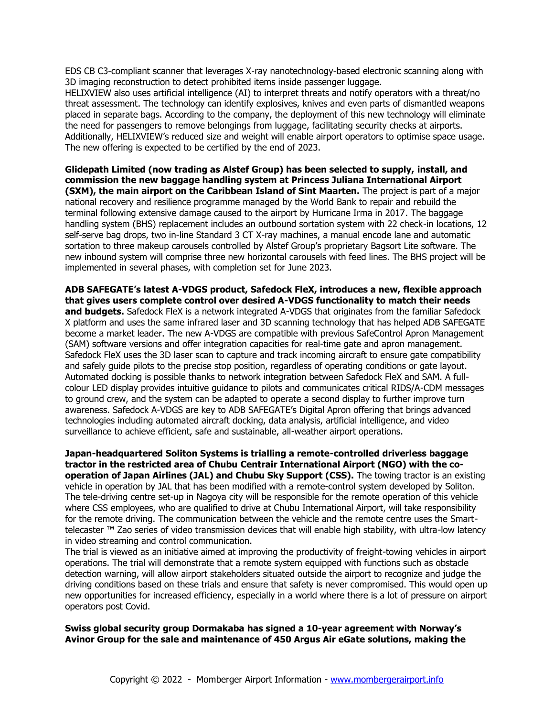EDS CB C3-compliant scanner that leverages X-ray nanotechnology-based electronic scanning along with 3D imaging reconstruction to detect prohibited items inside passenger luggage.

HELIXVIEW also uses artificial intelligence (AI) to interpret threats and notify operators with a threat/no threat assessment. The technology can identify explosives, knives and even parts of dismantled weapons placed in separate bags. According to the company, the deployment of this new technology will eliminate the need for passengers to remove belongings from luggage, facilitating security checks at airports. Additionally, HELIXVIEW's reduced size and weight will enable airport operators to optimise space usage. The new offering is expected to be certified by the end of 2023.

**Glidepath Limited (now trading as Alstef Group) has been selected to supply, install, and commission the new baggage handling system at Princess Juliana International Airport (SXM), the main airport on the Caribbean Island of Sint Maarten.** The project is part of a major national recovery and resilience programme managed by the World Bank to repair and rebuild the terminal following extensive damage caused to the airport by Hurricane Irma in 2017. The baggage handling system (BHS) replacement includes an outbound sortation system with 22 check-in locations, 12 self-serve bag drops, two in-line Standard 3 CT X-ray machines, a manual encode lane and automatic sortation to three makeup carousels controlled by Alstef Group's proprietary Bagsort Lite software. The new inbound system will comprise three new horizontal carousels with feed lines. The BHS project will be implemented in several phases, with completion set for June 2023.

**ADB SAFEGATE's latest A-VDGS product, Safedock FleX, introduces a new, flexible approach that gives users complete control over desired A-VDGS functionality to match their needs and budgets.** Safedock FleX is a network integrated A-VDGS that originates from the familiar Safedock X platform and uses the same infrared laser and 3D scanning technology that has helped ADB SAFEGATE become a market leader. The new A-VDGS are compatible with previous SafeControl Apron Management (SAM) software versions and offer integration capacities for real-time gate and apron management. Safedock FleX uses the 3D laser scan to capture and track incoming aircraft to ensure gate compatibility and safely guide pilots to the precise stop position, regardless of operating conditions or gate layout. Automated docking is possible thanks to network integration between Safedock FleX and SAM. A fullcolour LED display provides intuitive guidance to pilots and communicates critical RIDS/A-CDM messages to ground crew, and the system can be adapted to operate a second display to further improve turn awareness. Safedock A-VDGS are key to ADB SAFEGATE's Digital Apron offering that brings advanced technologies including automated aircraft docking, data analysis, artificial intelligence, and video surveillance to achieve efficient, safe and sustainable, all-weather airport operations.

**Japan-headquartered Soliton Systems is trialling a remote-controlled driverless baggage tractor in the restricted area of Chubu Centrair International Airport (NGO) with the cooperation of Japan Airlines (JAL) and Chubu Sky Support (CSS).** The towing tractor is an existing vehicle in operation by JAL that has been modified with a remote-control system developed by Soliton. The tele-driving centre set-up in Nagoya city will be responsible for the remote operation of this vehicle where CSS employees, who are qualified to drive at Chubu International Airport, will take responsibility for the remote driving. The communication between the vehicle and the remote centre uses the Smarttelecaster ™ Zao series of video transmission devices that will enable high stability, with ultra-low latency in video streaming and control communication.

The trial is viewed as an initiative aimed at improving the productivity of freight-towing vehicles in airport operations. The trial will demonstrate that a remote system equipped with functions such as obstacle detection warning, will allow airport stakeholders situated outside the airport to recognize and judge the driving conditions based on these trials and ensure that safety is never compromised. This would open up new opportunities for increased efficiency, especially in a world where there is a lot of pressure on airport operators post Covid.

**Swiss global security group Dormakaba has signed a 10-year agreement with Norway's Avinor Group for the sale and maintenance of 450 Argus Air eGate solutions, making the**